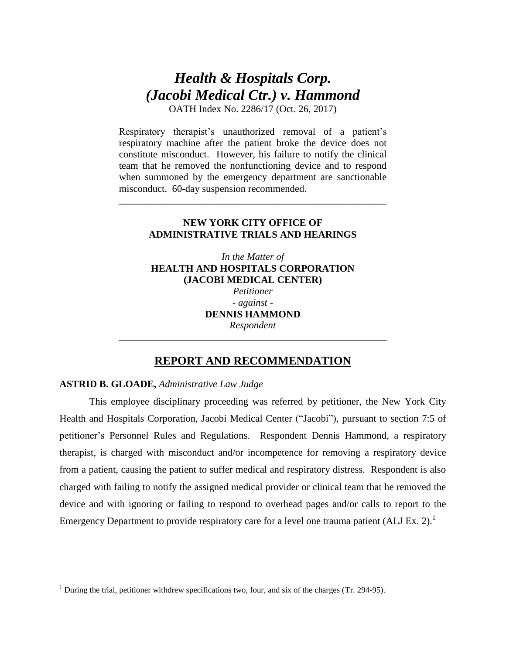# *Health & Hospitals Corp. (Jacobi Medical Ctr.) v. Hammond*

OATH Index No. 2286/17 (Oct. 26, 2017)

Respiratory therapist's unauthorized removal of a patient's respiratory machine after the patient broke the device does not constitute misconduct. However, his failure to notify the clinical team that he removed the nonfunctioning device and to respond when summoned by the emergency department are sanctionable misconduct. 60-day suspension recommended.

## **NEW YORK CITY OFFICE OF ADMINISTRATIVE TRIALS AND HEARINGS**

\_\_\_\_\_\_\_\_\_\_\_\_\_\_\_\_\_\_\_\_\_\_\_\_\_\_\_\_\_\_\_\_\_\_\_\_\_\_\_\_\_\_\_\_\_\_\_\_\_\_\_\_\_\_

*In the Matter of*  **HEALTH AND HOSPITALS CORPORATION (JACOBI MEDICAL CENTER)** *Petitioner - against* - **DENNIS HAMMOND** *Respondent*

# **REPORT AND RECOMMENDATION**

*\_\_\_\_\_\_\_\_\_\_\_\_\_\_\_\_\_\_\_\_\_\_\_\_\_\_\_\_\_\_\_\_\_\_\_\_\_\_\_\_\_\_\_\_\_\_\_\_\_\_\_\_\_\_*

## **ASTRID B. GLOADE,** *Administrative Law Judge*

l

This employee disciplinary proceeding was referred by petitioner, the New York City Health and Hospitals Corporation, Jacobi Medical Center ("Jacobi"), pursuant to section 7:5 of petitioner's Personnel Rules and Regulations. Respondent Dennis Hammond, a respiratory therapist, is charged with misconduct and/or incompetence for removing a respiratory device from a patient, causing the patient to suffer medical and respiratory distress. Respondent is also charged with failing to notify the assigned medical provider or clinical team that he removed the device and with ignoring or failing to respond to overhead pages and/or calls to report to the Emergency Department to provide respiratory care for a level one trauma patient  $(ALI Ex. 2).$ <sup>1</sup>

<sup>&</sup>lt;sup>1</sup> During the trial, petitioner withdrew specifications two, four, and six of the charges (Tr. 294-95).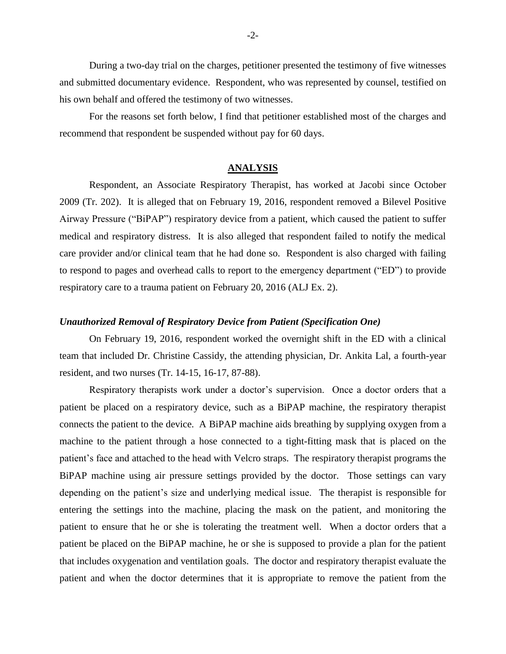During a two-day trial on the charges, petitioner presented the testimony of five witnesses and submitted documentary evidence. Respondent, who was represented by counsel, testified on his own behalf and offered the testimony of two witnesses.

For the reasons set forth below, I find that petitioner established most of the charges and recommend that respondent be suspended without pay for 60 days.

#### **ANALYSIS**

Respondent, an Associate Respiratory Therapist, has worked at Jacobi since October 2009 (Tr. 202). It is alleged that on February 19, 2016, respondent removed a Bilevel Positive Airway Pressure ("BiPAP") respiratory device from a patient, which caused the patient to suffer medical and respiratory distress. It is also alleged that respondent failed to notify the medical care provider and/or clinical team that he had done so. Respondent is also charged with failing to respond to pages and overhead calls to report to the emergency department ("ED") to provide respiratory care to a trauma patient on February 20, 2016 (ALJ Ex. 2).

## *Unauthorized Removal of Respiratory Device from Patient (Specification One)*

On February 19, 2016, respondent worked the overnight shift in the ED with a clinical team that included Dr. Christine Cassidy, the attending physician, Dr. Ankita Lal, a fourth-year resident, and two nurses (Tr. 14-15, 16-17, 87-88).

Respiratory therapists work under a doctor's supervision. Once a doctor orders that a patient be placed on a respiratory device, such as a BiPAP machine, the respiratory therapist connects the patient to the device. A BiPAP machine aids breathing by supplying oxygen from a machine to the patient through a hose connected to a tight-fitting mask that is placed on the patient's face and attached to the head with Velcro straps. The respiratory therapist programs the BiPAP machine using air pressure settings provided by the doctor. Those settings can vary depending on the patient's size and underlying medical issue. The therapist is responsible for entering the settings into the machine, placing the mask on the patient, and monitoring the patient to ensure that he or she is tolerating the treatment well. When a doctor orders that a patient be placed on the BiPAP machine, he or she is supposed to provide a plan for the patient that includes oxygenation and ventilation goals. The doctor and respiratory therapist evaluate the patient and when the doctor determines that it is appropriate to remove the patient from the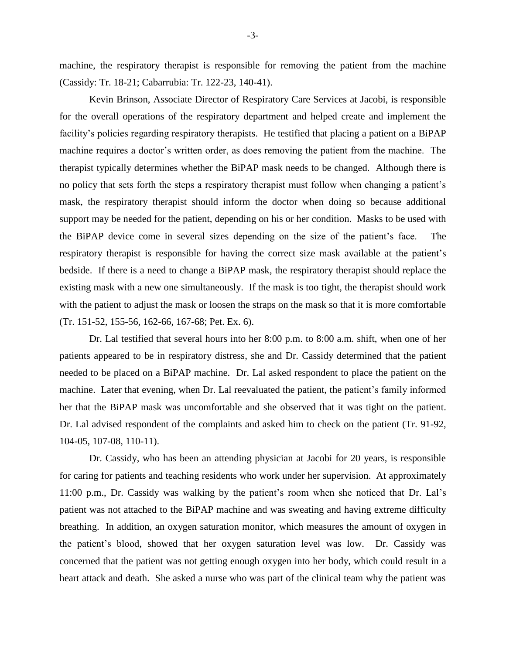machine, the respiratory therapist is responsible for removing the patient from the machine (Cassidy: Tr. 18-21; Cabarrubia: Tr. 122-23, 140-41).

Kevin Brinson, Associate Director of Respiratory Care Services at Jacobi, is responsible for the overall operations of the respiratory department and helped create and implement the facility's policies regarding respiratory therapists. He testified that placing a patient on a BiPAP machine requires a doctor's written order, as does removing the patient from the machine. The therapist typically determines whether the BiPAP mask needs to be changed. Although there is no policy that sets forth the steps a respiratory therapist must follow when changing a patient's mask, the respiratory therapist should inform the doctor when doing so because additional support may be needed for the patient, depending on his or her condition. Masks to be used with the BiPAP device come in several sizes depending on the size of the patient's face. The respiratory therapist is responsible for having the correct size mask available at the patient's bedside. If there is a need to change a BiPAP mask, the respiratory therapist should replace the existing mask with a new one simultaneously. If the mask is too tight, the therapist should work with the patient to adjust the mask or loosen the straps on the mask so that it is more comfortable (Tr. 151-52, 155-56, 162-66, 167-68; Pet. Ex. 6).

Dr. Lal testified that several hours into her 8:00 p.m. to 8:00 a.m. shift, when one of her patients appeared to be in respiratory distress, she and Dr. Cassidy determined that the patient needed to be placed on a BiPAP machine. Dr. Lal asked respondent to place the patient on the machine. Later that evening, when Dr. Lal reevaluated the patient, the patient's family informed her that the BiPAP mask was uncomfortable and she observed that it was tight on the patient. Dr. Lal advised respondent of the complaints and asked him to check on the patient (Tr. 91-92, 104-05, 107-08, 110-11).

Dr. Cassidy, who has been an attending physician at Jacobi for 20 years, is responsible for caring for patients and teaching residents who work under her supervision. At approximately 11:00 p.m., Dr. Cassidy was walking by the patient's room when she noticed that Dr. Lal's patient was not attached to the BiPAP machine and was sweating and having extreme difficulty breathing. In addition, an oxygen saturation monitor, which measures the amount of oxygen in the patient's blood, showed that her oxygen saturation level was low. Dr. Cassidy was concerned that the patient was not getting enough oxygen into her body, which could result in a heart attack and death. She asked a nurse who was part of the clinical team why the patient was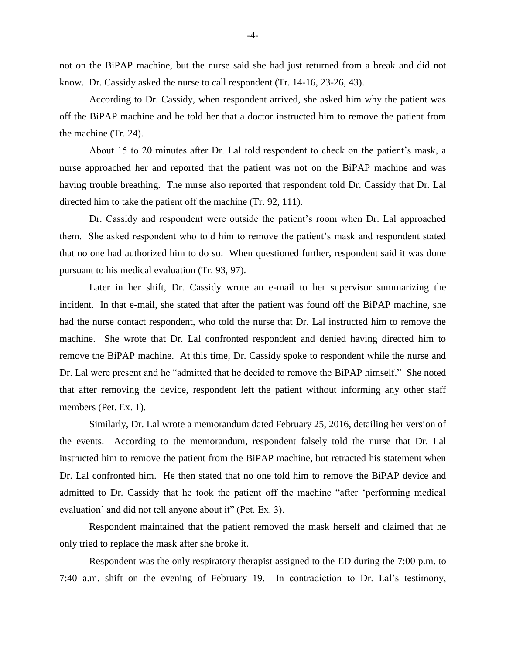not on the BiPAP machine, but the nurse said she had just returned from a break and did not know. Dr. Cassidy asked the nurse to call respondent (Tr. 14-16, 23-26, 43).

According to Dr. Cassidy, when respondent arrived, she asked him why the patient was off the BiPAP machine and he told her that a doctor instructed him to remove the patient from the machine (Tr. 24).

About 15 to 20 minutes after Dr. Lal told respondent to check on the patient's mask, a nurse approached her and reported that the patient was not on the BiPAP machine and was having trouble breathing. The nurse also reported that respondent told Dr. Cassidy that Dr. Lal directed him to take the patient off the machine (Tr. 92, 111).

Dr. Cassidy and respondent were outside the patient's room when Dr. Lal approached them. She asked respondent who told him to remove the patient's mask and respondent stated that no one had authorized him to do so. When questioned further, respondent said it was done pursuant to his medical evaluation (Tr. 93, 97).

Later in her shift, Dr. Cassidy wrote an e-mail to her supervisor summarizing the incident. In that e-mail, she stated that after the patient was found off the BiPAP machine, she had the nurse contact respondent, who told the nurse that Dr. Lal instructed him to remove the machine. She wrote that Dr. Lal confronted respondent and denied having directed him to remove the BiPAP machine. At this time, Dr. Cassidy spoke to respondent while the nurse and Dr. Lal were present and he "admitted that he decided to remove the BiPAP himself." She noted that after removing the device, respondent left the patient without informing any other staff members (Pet. Ex. 1).

Similarly, Dr. Lal wrote a memorandum dated February 25, 2016, detailing her version of the events. According to the memorandum, respondent falsely told the nurse that Dr. Lal instructed him to remove the patient from the BiPAP machine, but retracted his statement when Dr. Lal confronted him. He then stated that no one told him to remove the BiPAP device and admitted to Dr. Cassidy that he took the patient off the machine "after 'performing medical evaluation' and did not tell anyone about it" (Pet. Ex. 3).

Respondent maintained that the patient removed the mask herself and claimed that he only tried to replace the mask after she broke it.

Respondent was the only respiratory therapist assigned to the ED during the 7:00 p.m. to 7:40 a.m. shift on the evening of February 19. In contradiction to Dr. Lal's testimony,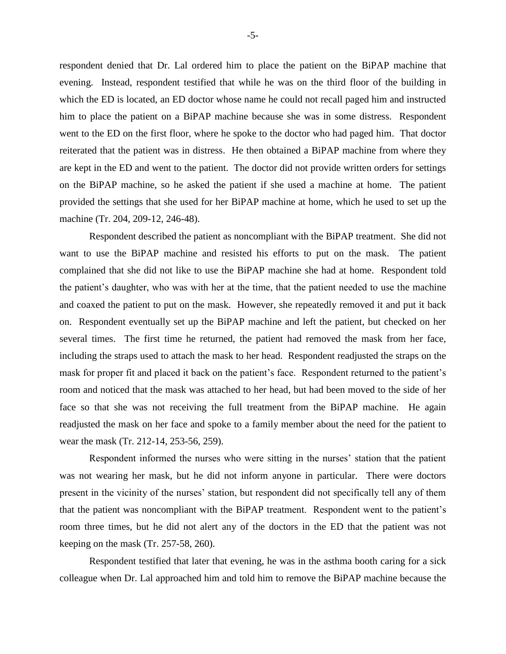respondent denied that Dr. Lal ordered him to place the patient on the BiPAP machine that evening. Instead, respondent testified that while he was on the third floor of the building in which the ED is located, an ED doctor whose name he could not recall paged him and instructed him to place the patient on a BiPAP machine because she was in some distress. Respondent went to the ED on the first floor, where he spoke to the doctor who had paged him. That doctor reiterated that the patient was in distress. He then obtained a BiPAP machine from where they are kept in the ED and went to the patient. The doctor did not provide written orders for settings on the BiPAP machine, so he asked the patient if she used a machine at home. The patient provided the settings that she used for her BiPAP machine at home, which he used to set up the machine (Tr. 204, 209-12, 246-48).

Respondent described the patient as noncompliant with the BiPAP treatment. She did not want to use the BiPAP machine and resisted his efforts to put on the mask. The patient complained that she did not like to use the BiPAP machine she had at home. Respondent told the patient's daughter, who was with her at the time, that the patient needed to use the machine and coaxed the patient to put on the mask. However, she repeatedly removed it and put it back on. Respondent eventually set up the BiPAP machine and left the patient, but checked on her several times. The first time he returned, the patient had removed the mask from her face, including the straps used to attach the mask to her head. Respondent readjusted the straps on the mask for proper fit and placed it back on the patient's face. Respondent returned to the patient's room and noticed that the mask was attached to her head, but had been moved to the side of her face so that she was not receiving the full treatment from the BiPAP machine. He again readjusted the mask on her face and spoke to a family member about the need for the patient to wear the mask (Tr. 212-14, 253-56, 259).

Respondent informed the nurses who were sitting in the nurses' station that the patient was not wearing her mask, but he did not inform anyone in particular. There were doctors present in the vicinity of the nurses' station, but respondent did not specifically tell any of them that the patient was noncompliant with the BiPAP treatment. Respondent went to the patient's room three times, but he did not alert any of the doctors in the ED that the patient was not keeping on the mask (Tr. 257-58, 260).

Respondent testified that later that evening, he was in the asthma booth caring for a sick colleague when Dr. Lal approached him and told him to remove the BiPAP machine because the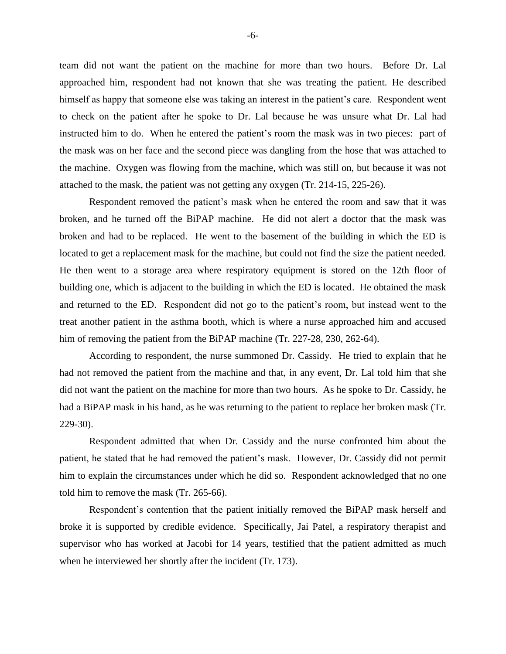team did not want the patient on the machine for more than two hours. Before Dr. Lal approached him, respondent had not known that she was treating the patient. He described himself as happy that someone else was taking an interest in the patient's care. Respondent went to check on the patient after he spoke to Dr. Lal because he was unsure what Dr. Lal had instructed him to do. When he entered the patient's room the mask was in two pieces: part of the mask was on her face and the second piece was dangling from the hose that was attached to the machine. Oxygen was flowing from the machine, which was still on, but because it was not attached to the mask, the patient was not getting any oxygen (Tr. 214-15, 225-26).

Respondent removed the patient's mask when he entered the room and saw that it was broken, and he turned off the BiPAP machine. He did not alert a doctor that the mask was broken and had to be replaced. He went to the basement of the building in which the ED is located to get a replacement mask for the machine, but could not find the size the patient needed. He then went to a storage area where respiratory equipment is stored on the 12th floor of building one, which is adjacent to the building in which the ED is located. He obtained the mask and returned to the ED. Respondent did not go to the patient's room, but instead went to the treat another patient in the asthma booth, which is where a nurse approached him and accused him of removing the patient from the BiPAP machine (Tr. 227-28, 230, 262-64).

According to respondent, the nurse summoned Dr. Cassidy. He tried to explain that he had not removed the patient from the machine and that, in any event, Dr. Lal told him that she did not want the patient on the machine for more than two hours. As he spoke to Dr. Cassidy, he had a BiPAP mask in his hand, as he was returning to the patient to replace her broken mask (Tr. 229-30).

Respondent admitted that when Dr. Cassidy and the nurse confronted him about the patient, he stated that he had removed the patient's mask. However, Dr. Cassidy did not permit him to explain the circumstances under which he did so. Respondent acknowledged that no one told him to remove the mask (Tr. 265-66).

Respondent's contention that the patient initially removed the BiPAP mask herself and broke it is supported by credible evidence. Specifically, Jai Patel, a respiratory therapist and supervisor who has worked at Jacobi for 14 years, testified that the patient admitted as much when he interviewed her shortly after the incident (Tr. 173).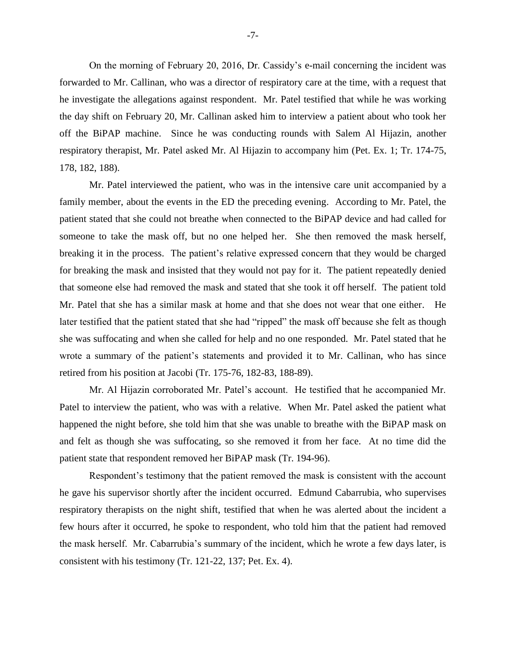On the morning of February 20, 2016, Dr. Cassidy's e-mail concerning the incident was forwarded to Mr. Callinan, who was a director of respiratory care at the time, with a request that he investigate the allegations against respondent. Mr. Patel testified that while he was working the day shift on February 20, Mr. Callinan asked him to interview a patient about who took her off the BiPAP machine. Since he was conducting rounds with Salem Al Hijazin, another respiratory therapist, Mr. Patel asked Mr. Al Hijazin to accompany him (Pet. Ex. 1; Tr. 174-75, 178, 182, 188).

Mr. Patel interviewed the patient, who was in the intensive care unit accompanied by a family member, about the events in the ED the preceding evening. According to Mr. Patel, the patient stated that she could not breathe when connected to the BiPAP device and had called for someone to take the mask off, but no one helped her. She then removed the mask herself, breaking it in the process. The patient's relative expressed concern that they would be charged for breaking the mask and insisted that they would not pay for it. The patient repeatedly denied that someone else had removed the mask and stated that she took it off herself. The patient told Mr. Patel that she has a similar mask at home and that she does not wear that one either. He later testified that the patient stated that she had "ripped" the mask off because she felt as though she was suffocating and when she called for help and no one responded. Mr. Patel stated that he wrote a summary of the patient's statements and provided it to Mr. Callinan, who has since retired from his position at Jacobi (Tr. 175-76, 182-83, 188-89).

Mr. Al Hijazin corroborated Mr. Patel's account. He testified that he accompanied Mr. Patel to interview the patient, who was with a relative. When Mr. Patel asked the patient what happened the night before, she told him that she was unable to breathe with the BiPAP mask on and felt as though she was suffocating, so she removed it from her face. At no time did the patient state that respondent removed her BiPAP mask (Tr. 194-96).

Respondent's testimony that the patient removed the mask is consistent with the account he gave his supervisor shortly after the incident occurred. Edmund Cabarrubia, who supervises respiratory therapists on the night shift, testified that when he was alerted about the incident a few hours after it occurred, he spoke to respondent, who told him that the patient had removed the mask herself. Mr. Cabarrubia's summary of the incident, which he wrote a few days later, is consistent with his testimony (Tr. 121-22, 137; Pet. Ex. 4).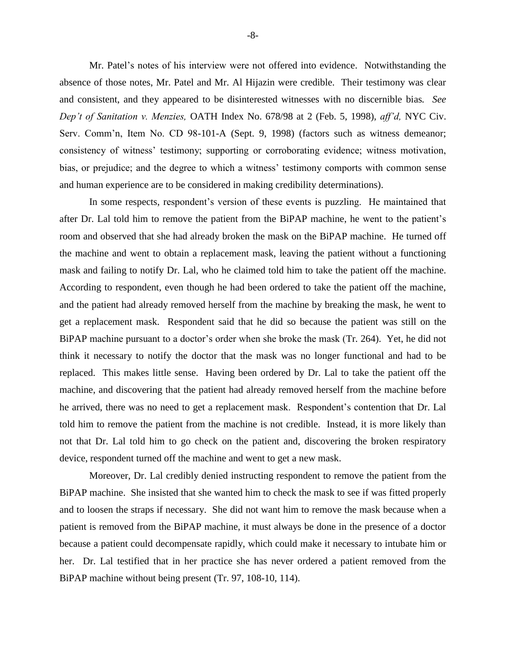Mr. Patel's notes of his interview were not offered into evidence. Notwithstanding the absence of those notes, Mr. Patel and Mr. Al Hijazin were credible. Their testimony was clear and consistent, and they appeared to be disinterested witnesses with no discernible bias*. See Dep't of Sanitation v. Menzies,* OATH Index No. 678/98 at 2 (Feb. 5, 1998), *aff'd,* NYC Civ. Serv. Comm'n, Item No. CD 98-101-A (Sept. 9, 1998) (factors such as witness demeanor; consistency of witness' testimony; supporting or corroborating evidence; witness motivation, bias, or prejudice; and the degree to which a witness' testimony comports with common sense and human experience are to be considered in making credibility determinations).

In some respects, respondent's version of these events is puzzling. He maintained that after Dr. Lal told him to remove the patient from the BiPAP machine, he went to the patient's room and observed that she had already broken the mask on the BiPAP machine. He turned off the machine and went to obtain a replacement mask, leaving the patient without a functioning mask and failing to notify Dr. Lal, who he claimed told him to take the patient off the machine. According to respondent, even though he had been ordered to take the patient off the machine, and the patient had already removed herself from the machine by breaking the mask, he went to get a replacement mask. Respondent said that he did so because the patient was still on the BiPAP machine pursuant to a doctor's order when she broke the mask (Tr. 264). Yet, he did not think it necessary to notify the doctor that the mask was no longer functional and had to be replaced. This makes little sense. Having been ordered by Dr. Lal to take the patient off the machine, and discovering that the patient had already removed herself from the machine before he arrived, there was no need to get a replacement mask. Respondent's contention that Dr. Lal told him to remove the patient from the machine is not credible. Instead, it is more likely than not that Dr. Lal told him to go check on the patient and, discovering the broken respiratory device, respondent turned off the machine and went to get a new mask.

Moreover, Dr. Lal credibly denied instructing respondent to remove the patient from the BiPAP machine. She insisted that she wanted him to check the mask to see if was fitted properly and to loosen the straps if necessary. She did not want him to remove the mask because when a patient is removed from the BiPAP machine, it must always be done in the presence of a doctor because a patient could decompensate rapidly, which could make it necessary to intubate him or her. Dr. Lal testified that in her practice she has never ordered a patient removed from the BiPAP machine without being present (Tr. 97, 108-10, 114).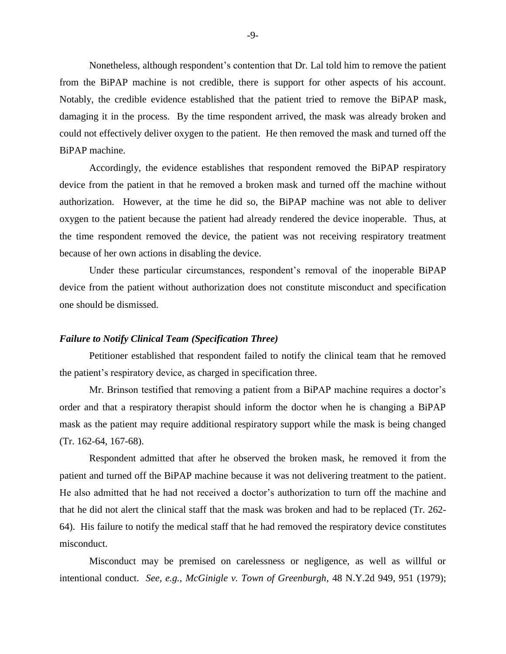Nonetheless, although respondent's contention that Dr. Lal told him to remove the patient from the BiPAP machine is not credible, there is support for other aspects of his account. Notably, the credible evidence established that the patient tried to remove the BiPAP mask, damaging it in the process. By the time respondent arrived, the mask was already broken and could not effectively deliver oxygen to the patient. He then removed the mask and turned off the BiPAP machine.

Accordingly, the evidence establishes that respondent removed the BiPAP respiratory device from the patient in that he removed a broken mask and turned off the machine without authorization. However, at the time he did so, the BiPAP machine was not able to deliver oxygen to the patient because the patient had already rendered the device inoperable. Thus, at the time respondent removed the device, the patient was not receiving respiratory treatment because of her own actions in disabling the device.

Under these particular circumstances, respondent's removal of the inoperable BiPAP device from the patient without authorization does not constitute misconduct and specification one should be dismissed.

#### *Failure to Notify Clinical Team (Specification Three)*

Petitioner established that respondent failed to notify the clinical team that he removed the patient's respiratory device, as charged in specification three.

Mr. Brinson testified that removing a patient from a BiPAP machine requires a doctor's order and that a respiratory therapist should inform the doctor when he is changing a BiPAP mask as the patient may require additional respiratory support while the mask is being changed (Tr. 162-64, 167-68).

Respondent admitted that after he observed the broken mask, he removed it from the patient and turned off the BiPAP machine because it was not delivering treatment to the patient. He also admitted that he had not received a doctor's authorization to turn off the machine and that he did not alert the clinical staff that the mask was broken and had to be replaced (Tr. 262- 64). His failure to notify the medical staff that he had removed the respiratory device constitutes misconduct.

Misconduct may be premised on carelessness or negligence, as well as willful or intentional conduct. *See, e.g., McGinigle v. Town of Greenburgh*, 48 N.Y.2d 949, 951 (1979);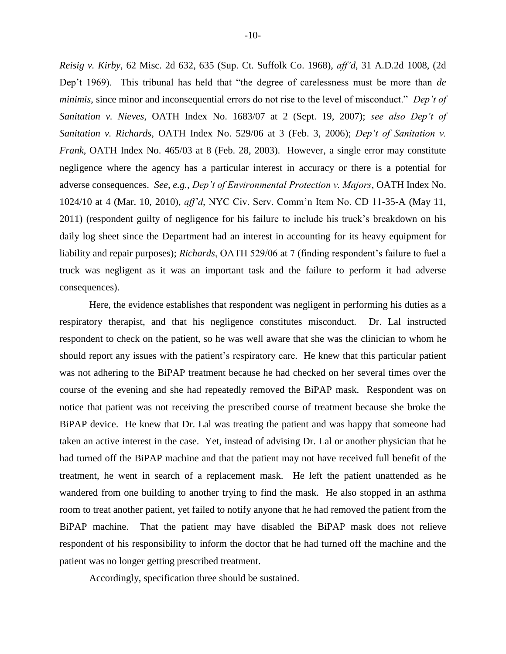*Reisig v. Kirby*, 62 Misc. 2d 632, 635 (Sup. Ct. Suffolk Co. 1968), *aff'd*, 31 A.D.2d 1008, (2d Dep't 1969). This tribunal has held that "the degree of carelessness must be more than *de minimis*, since minor and inconsequential errors do not rise to the level of misconduct." *Dep't of Sanitation v. Nieves*, OATH Index No. 1683/07 at 2 (Sept. 19, 2007); *see also Dep't of Sanitation v. Richards*, OATH Index No. 529/06 at 3 (Feb. 3, 2006); *Dep't of Sanitation v. Frank*, OATH Index No. 465/03 at 8 (Feb. 28, 2003). However, a single error may constitute negligence where the agency has a particular interest in accuracy or there is a potential for adverse consequences. *See, e.g.*, *Dep't of Environmental Protection v. Majors*, OATH Index No. 1024/10 at 4 (Mar. 10, 2010), *aff'd*, NYC Civ. Serv. Comm'n Item No. CD 11-35-A (May 11, 2011) (respondent guilty of negligence for his failure to include his truck's breakdown on his daily log sheet since the Department had an interest in accounting for its heavy equipment for liability and repair purposes); *Richards*, OATH 529/06 at 7 (finding respondent's failure to fuel a truck was negligent as it was an important task and the failure to perform it had adverse consequences).

Here, the evidence establishes that respondent was negligent in performing his duties as a respiratory therapist, and that his negligence constitutes misconduct. Dr. Lal instructed respondent to check on the patient, so he was well aware that she was the clinician to whom he should report any issues with the patient's respiratory care. He knew that this particular patient was not adhering to the BiPAP treatment because he had checked on her several times over the course of the evening and she had repeatedly removed the BiPAP mask. Respondent was on notice that patient was not receiving the prescribed course of treatment because she broke the BiPAP device. He knew that Dr. Lal was treating the patient and was happy that someone had taken an active interest in the case. Yet, instead of advising Dr. Lal or another physician that he had turned off the BiPAP machine and that the patient may not have received full benefit of the treatment, he went in search of a replacement mask. He left the patient unattended as he wandered from one building to another trying to find the mask. He also stopped in an asthma room to treat another patient, yet failed to notify anyone that he had removed the patient from the BiPAP machine. That the patient may have disabled the BiPAP mask does not relieve respondent of his responsibility to inform the doctor that he had turned off the machine and the patient was no longer getting prescribed treatment.

Accordingly, specification three should be sustained.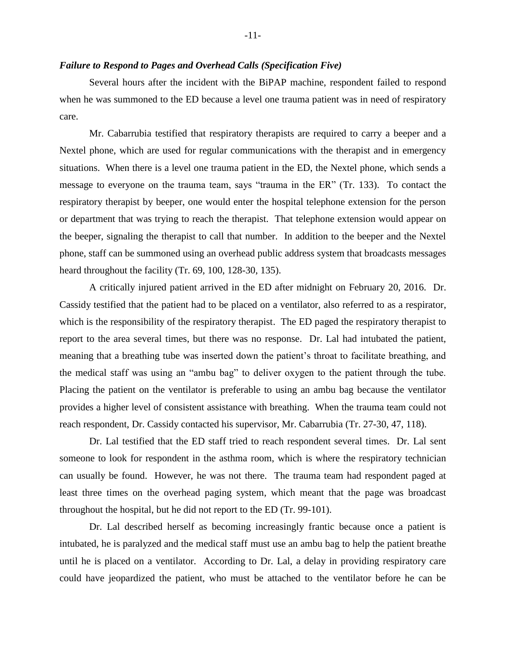## *Failure to Respond to Pages and Overhead Calls (Specification Five)*

Several hours after the incident with the BiPAP machine, respondent failed to respond when he was summoned to the ED because a level one trauma patient was in need of respiratory care.

Mr. Cabarrubia testified that respiratory therapists are required to carry a beeper and a Nextel phone, which are used for regular communications with the therapist and in emergency situations. When there is a level one trauma patient in the ED, the Nextel phone, which sends a message to everyone on the trauma team, says "trauma in the ER" (Tr. 133). To contact the respiratory therapist by beeper, one would enter the hospital telephone extension for the person or department that was trying to reach the therapist. That telephone extension would appear on the beeper, signaling the therapist to call that number. In addition to the beeper and the Nextel phone, staff can be summoned using an overhead public address system that broadcasts messages heard throughout the facility (Tr. 69, 100, 128-30, 135).

A critically injured patient arrived in the ED after midnight on February 20, 2016. Dr. Cassidy testified that the patient had to be placed on a ventilator, also referred to as a respirator, which is the responsibility of the respiratory therapist. The ED paged the respiratory therapist to report to the area several times, but there was no response. Dr. Lal had intubated the patient, meaning that a breathing tube was inserted down the patient's throat to facilitate breathing, and the medical staff was using an "ambu bag" to deliver oxygen to the patient through the tube. Placing the patient on the ventilator is preferable to using an ambu bag because the ventilator provides a higher level of consistent assistance with breathing. When the trauma team could not reach respondent, Dr. Cassidy contacted his supervisor, Mr. Cabarrubia (Tr. 27-30, 47, 118).

Dr. Lal testified that the ED staff tried to reach respondent several times. Dr. Lal sent someone to look for respondent in the asthma room, which is where the respiratory technician can usually be found. However, he was not there. The trauma team had respondent paged at least three times on the overhead paging system, which meant that the page was broadcast throughout the hospital, but he did not report to the ED (Tr. 99-101).

Dr. Lal described herself as becoming increasingly frantic because once a patient is intubated, he is paralyzed and the medical staff must use an ambu bag to help the patient breathe until he is placed on a ventilator. According to Dr. Lal, a delay in providing respiratory care could have jeopardized the patient, who must be attached to the ventilator before he can be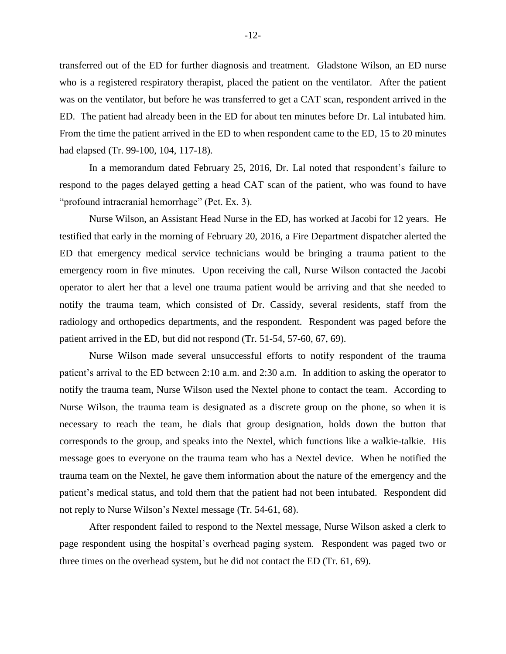transferred out of the ED for further diagnosis and treatment. Gladstone Wilson, an ED nurse who is a registered respiratory therapist, placed the patient on the ventilator. After the patient was on the ventilator, but before he was transferred to get a CAT scan, respondent arrived in the ED. The patient had already been in the ED for about ten minutes before Dr. Lal intubated him. From the time the patient arrived in the ED to when respondent came to the ED, 15 to 20 minutes had elapsed (Tr. 99-100, 104, 117-18).

In a memorandum dated February 25, 2016, Dr. Lal noted that respondent's failure to respond to the pages delayed getting a head CAT scan of the patient, who was found to have "profound intracranial hemorrhage" (Pet. Ex. 3).

Nurse Wilson, an Assistant Head Nurse in the ED, has worked at Jacobi for 12 years. He testified that early in the morning of February 20, 2016, a Fire Department dispatcher alerted the ED that emergency medical service technicians would be bringing a trauma patient to the emergency room in five minutes. Upon receiving the call, Nurse Wilson contacted the Jacobi operator to alert her that a level one trauma patient would be arriving and that she needed to notify the trauma team, which consisted of Dr. Cassidy, several residents, staff from the radiology and orthopedics departments, and the respondent. Respondent was paged before the patient arrived in the ED, but did not respond (Tr. 51-54, 57-60, 67, 69).

Nurse Wilson made several unsuccessful efforts to notify respondent of the trauma patient's arrival to the ED between 2:10 a.m. and 2:30 a.m. In addition to asking the operator to notify the trauma team, Nurse Wilson used the Nextel phone to contact the team. According to Nurse Wilson, the trauma team is designated as a discrete group on the phone, so when it is necessary to reach the team, he dials that group designation, holds down the button that corresponds to the group, and speaks into the Nextel, which functions like a walkie-talkie. His message goes to everyone on the trauma team who has a Nextel device. When he notified the trauma team on the Nextel, he gave them information about the nature of the emergency and the patient's medical status, and told them that the patient had not been intubated. Respondent did not reply to Nurse Wilson's Nextel message (Tr. 54-61, 68).

After respondent failed to respond to the Nextel message, Nurse Wilson asked a clerk to page respondent using the hospital's overhead paging system. Respondent was paged two or three times on the overhead system, but he did not contact the ED (Tr. 61, 69).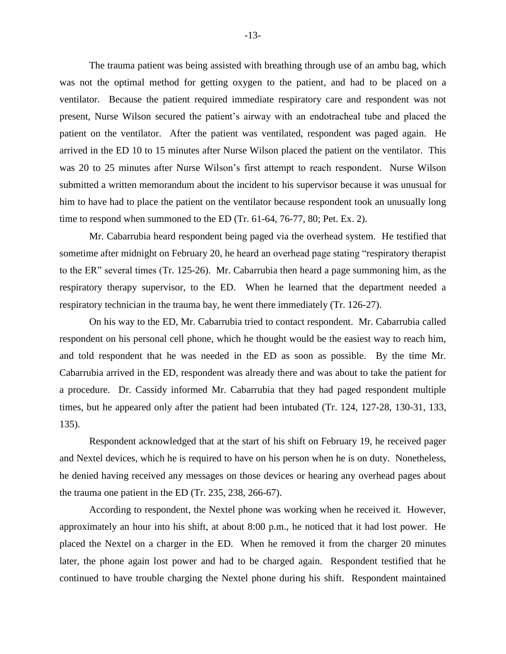The trauma patient was being assisted with breathing through use of an ambu bag, which was not the optimal method for getting oxygen to the patient, and had to be placed on a ventilator. Because the patient required immediate respiratory care and respondent was not present, Nurse Wilson secured the patient's airway with an endotracheal tube and placed the patient on the ventilator. After the patient was ventilated, respondent was paged again. He arrived in the ED 10 to 15 minutes after Nurse Wilson placed the patient on the ventilator. This was 20 to 25 minutes after Nurse Wilson's first attempt to reach respondent. Nurse Wilson submitted a written memorandum about the incident to his supervisor because it was unusual for him to have had to place the patient on the ventilator because respondent took an unusually long time to respond when summoned to the ED (Tr. 61-64, 76-77, 80; Pet. Ex. 2).

Mr. Cabarrubia heard respondent being paged via the overhead system. He testified that sometime after midnight on February 20, he heard an overhead page stating "respiratory therapist to the ER" several times (Tr. 125-26). Mr. Cabarrubia then heard a page summoning him, as the respiratory therapy supervisor, to the ED. When he learned that the department needed a respiratory technician in the trauma bay, he went there immediately (Tr. 126-27).

On his way to the ED, Mr. Cabarrubia tried to contact respondent. Mr. Cabarrubia called respondent on his personal cell phone, which he thought would be the easiest way to reach him, and told respondent that he was needed in the ED as soon as possible. By the time Mr. Cabarrubia arrived in the ED, respondent was already there and was about to take the patient for a procedure. Dr. Cassidy informed Mr. Cabarrubia that they had paged respondent multiple times, but he appeared only after the patient had been intubated (Tr. 124, 127-28, 130-31, 133, 135).

Respondent acknowledged that at the start of his shift on February 19, he received pager and Nextel devices, which he is required to have on his person when he is on duty. Nonetheless, he denied having received any messages on those devices or hearing any overhead pages about the trauma one patient in the ED (Tr. 235, 238, 266-67).

According to respondent, the Nextel phone was working when he received it. However, approximately an hour into his shift, at about 8:00 p.m., he noticed that it had lost power. He placed the Nextel on a charger in the ED. When he removed it from the charger 20 minutes later, the phone again lost power and had to be charged again. Respondent testified that he continued to have trouble charging the Nextel phone during his shift. Respondent maintained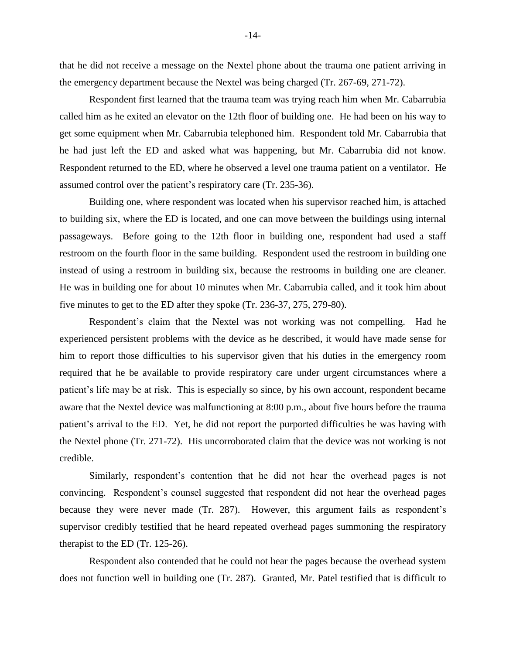that he did not receive a message on the Nextel phone about the trauma one patient arriving in the emergency department because the Nextel was being charged (Tr. 267-69, 271-72).

Respondent first learned that the trauma team was trying reach him when Mr. Cabarrubia called him as he exited an elevator on the 12th floor of building one. He had been on his way to get some equipment when Mr. Cabarrubia telephoned him. Respondent told Mr. Cabarrubia that he had just left the ED and asked what was happening, but Mr. Cabarrubia did not know. Respondent returned to the ED, where he observed a level one trauma patient on a ventilator. He assumed control over the patient's respiratory care (Tr. 235-36).

Building one, where respondent was located when his supervisor reached him, is attached to building six, where the ED is located, and one can move between the buildings using internal passageways. Before going to the 12th floor in building one, respondent had used a staff restroom on the fourth floor in the same building. Respondent used the restroom in building one instead of using a restroom in building six, because the restrooms in building one are cleaner. He was in building one for about 10 minutes when Mr. Cabarrubia called, and it took him about five minutes to get to the ED after they spoke (Tr. 236-37, 275, 279-80).

Respondent's claim that the Nextel was not working was not compelling. Had he experienced persistent problems with the device as he described, it would have made sense for him to report those difficulties to his supervisor given that his duties in the emergency room required that he be available to provide respiratory care under urgent circumstances where a patient's life may be at risk. This is especially so since, by his own account, respondent became aware that the Nextel device was malfunctioning at 8:00 p.m., about five hours before the trauma patient's arrival to the ED. Yet, he did not report the purported difficulties he was having with the Nextel phone (Tr. 271-72). His uncorroborated claim that the device was not working is not credible.

Similarly, respondent's contention that he did not hear the overhead pages is not convincing. Respondent's counsel suggested that respondent did not hear the overhead pages because they were never made (Tr. 287). However, this argument fails as respondent's supervisor credibly testified that he heard repeated overhead pages summoning the respiratory therapist to the ED (Tr. 125-26).

Respondent also contended that he could not hear the pages because the overhead system does not function well in building one (Tr. 287). Granted, Mr. Patel testified that is difficult to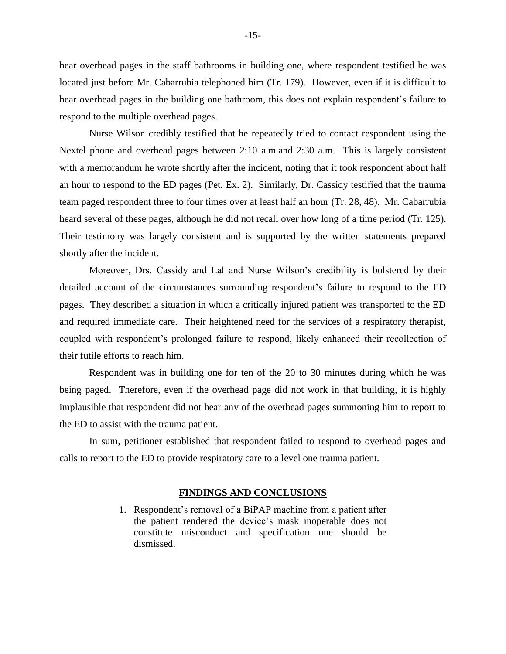hear overhead pages in the staff bathrooms in building one, where respondent testified he was located just before Mr. Cabarrubia telephoned him (Tr. 179). However, even if it is difficult to hear overhead pages in the building one bathroom, this does not explain respondent's failure to respond to the multiple overhead pages.

Nurse Wilson credibly testified that he repeatedly tried to contact respondent using the Nextel phone and overhead pages between 2:10 a.m.and 2:30 a.m. This is largely consistent with a memorandum he wrote shortly after the incident, noting that it took respondent about half an hour to respond to the ED pages (Pet. Ex. 2). Similarly, Dr. Cassidy testified that the trauma team paged respondent three to four times over at least half an hour (Tr. 28, 48). Mr. Cabarrubia heard several of these pages, although he did not recall over how long of a time period (Tr. 125). Their testimony was largely consistent and is supported by the written statements prepared shortly after the incident.

Moreover, Drs. Cassidy and Lal and Nurse Wilson's credibility is bolstered by their detailed account of the circumstances surrounding respondent's failure to respond to the ED pages. They described a situation in which a critically injured patient was transported to the ED and required immediate care. Their heightened need for the services of a respiratory therapist, coupled with respondent's prolonged failure to respond, likely enhanced their recollection of their futile efforts to reach him.

Respondent was in building one for ten of the 20 to 30 minutes during which he was being paged. Therefore, even if the overhead page did not work in that building, it is highly implausible that respondent did not hear any of the overhead pages summoning him to report to the ED to assist with the trauma patient.

In sum, petitioner established that respondent failed to respond to overhead pages and calls to report to the ED to provide respiratory care to a level one trauma patient.

#### **FINDINGS AND CONCLUSIONS**

1. Respondent's removal of a BiPAP machine from a patient after the patient rendered the device's mask inoperable does not constitute misconduct and specification one should be dismissed.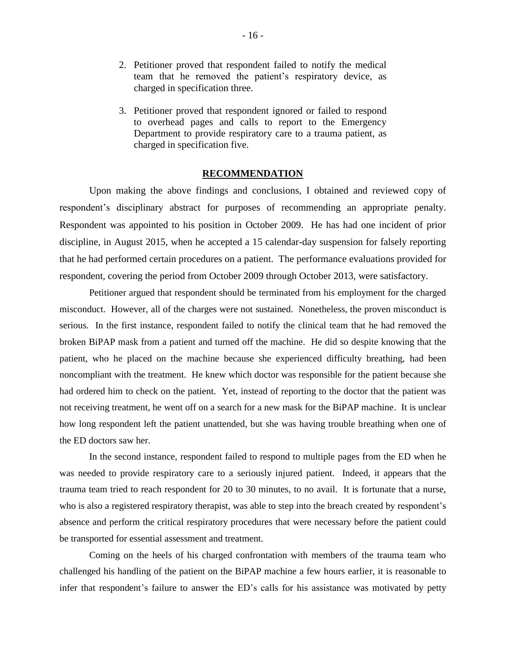- 2. Petitioner proved that respondent failed to notify the medical team that he removed the patient's respiratory device, as charged in specification three.
- 3. Petitioner proved that respondent ignored or failed to respond to overhead pages and calls to report to the Emergency Department to provide respiratory care to a trauma patient, as charged in specification five.

#### **RECOMMENDATION**

Upon making the above findings and conclusions, I obtained and reviewed copy of respondent's disciplinary abstract for purposes of recommending an appropriate penalty. Respondent was appointed to his position in October 2009. He has had one incident of prior discipline, in August 2015, when he accepted a 15 calendar-day suspension for falsely reporting that he had performed certain procedures on a patient. The performance evaluations provided for respondent, covering the period from October 2009 through October 2013, were satisfactory.

Petitioner argued that respondent should be terminated from his employment for the charged misconduct. However, all of the charges were not sustained. Nonetheless, the proven misconduct is serious. In the first instance, respondent failed to notify the clinical team that he had removed the broken BiPAP mask from a patient and turned off the machine. He did so despite knowing that the patient, who he placed on the machine because she experienced difficulty breathing, had been noncompliant with the treatment. He knew which doctor was responsible for the patient because she had ordered him to check on the patient. Yet, instead of reporting to the doctor that the patient was not receiving treatment, he went off on a search for a new mask for the BiPAP machine. It is unclear how long respondent left the patient unattended, but she was having trouble breathing when one of the ED doctors saw her.

In the second instance, respondent failed to respond to multiple pages from the ED when he was needed to provide respiratory care to a seriously injured patient. Indeed, it appears that the trauma team tried to reach respondent for 20 to 30 minutes, to no avail. It is fortunate that a nurse, who is also a registered respiratory therapist, was able to step into the breach created by respondent's absence and perform the critical respiratory procedures that were necessary before the patient could be transported for essential assessment and treatment.

Coming on the heels of his charged confrontation with members of the trauma team who challenged his handling of the patient on the BiPAP machine a few hours earlier, it is reasonable to infer that respondent's failure to answer the ED's calls for his assistance was motivated by petty